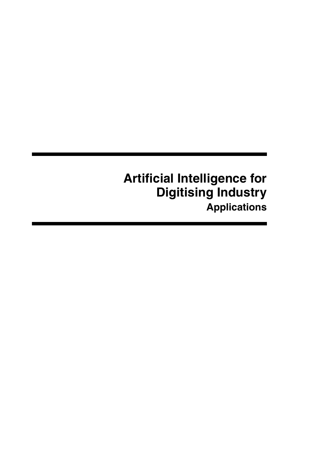# **Artificial Intelligence for Digitising Industry Applications**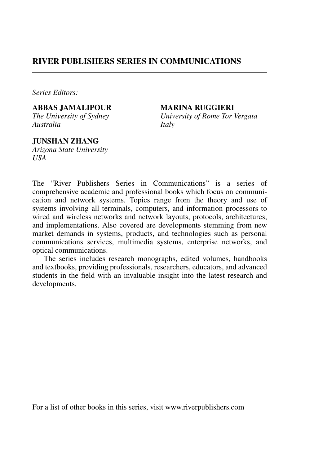#### **RIVER PUBLISHERS SERIES IN COMMUNICATIONS**

*Series Editors:*

**ABBAS JAMALIPOUR MARINA RUGGIERI**<br> *The University of Sydney University of Rome Tor Australia Italy*

*University of Rome Tor Vergata* 

#### **JUNSHAN ZHANG**

*Arizona State University USA*

The "River Publishers Series in Communications" is a series of comprehensive academic and professional books which focus on communication and network systems. Topics range from the theory and use of systems involving all terminals, computers, and information processors to wired and wireless networks and network layouts, protocols, architectures, and implementations. Also covered are developments stemming from new market demands in systems, products, and technologies such as personal communications services, multimedia systems, enterprise networks, and optical communications.

The series includes research monographs, edited volumes, handbooks and textbooks, providing professionals, researchers, educators, and advanced students in the field with an invaluable insight into the latest research and developments.

For a list of other books in this series, visit www.riverpublishers.com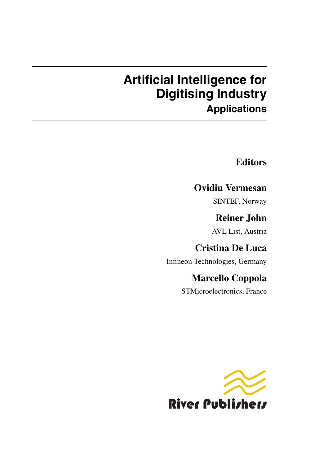# **Artificial Intelligence for Digitising Industry Applications**

### **Editors**

### **Ovidiu Vermesan**

SINTEF, Norway

# **Reiner John**

AVL List, Austria

## **Cristina De Luca**

Infineon Technologies, Germany

### **Marcello Coppola**

STMicroelectronics, France

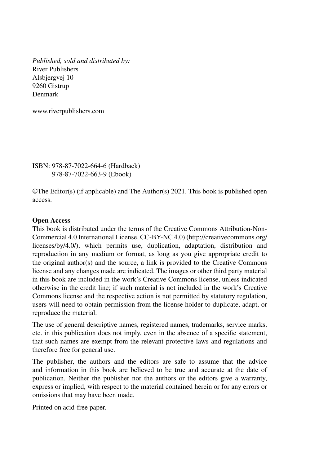*Published, sold and distributed by:* River Publishers Alsbjergvej 10 9260 Gistrup Denmark

www.riverpublishers.com

ISBN: 978-87-7022-664-6 (Hardback) 978-87-7022-663-9 (Ebook)

©The Editor(s) (if applicable) and The Author(s) 2021. This book is published open access.

#### **Open Access**

This book is distributed under the terms of the Creative Commons Attribution-Non-Commercial 4.0 International License, CC-BY-NC 4.0) (http://creativecommons.org/ licenses/by/4.0/), which permits use, duplication, adaptation, distribution and reproduction in any medium or format, as long as you give appropriate credit to the original author(s) and the source, a link is provided to the Creative Commons license and any changes made are indicated. The images or other third party material in this book are included in the work's Creative Commons license, unless indicated otherwise in the credit line; if such material is not included in the work's Creative Commons license and the respective action is not permitted by statutory regulation, users will need to obtain permission from the license holder to duplicate, adapt, or reproduce the material.

The use of general descriptive names, registered names, trademarks, service marks, etc. in this publication does not imply, even in the absence of a specific statement, that such names are exempt from the relevant protective laws and regulations and therefore free for general use.

The publisher, the authors and the editors are safe to assume that the advice and information in this book are believed to be true and accurate at the date of publication. Neither the publisher nor the authors or the editors give a warranty, express or implied, with respect to the material contained herein or for any errors or omissions that may have been made.

Printed on acid-free paper.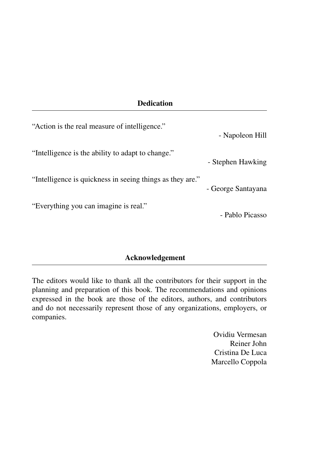#### **Dedication**

| "Action is the real measure of intelligence."             | - Napoleon Hill    |
|-----------------------------------------------------------|--------------------|
| "Intelligence is the ability to adapt to change."         | - Stephen Hawking  |
| "Intelligence is quickness in seeing things as they are." | - George Santayana |
| "Everything you can imagine is real."                     | - Pablo Picasso    |

#### **Acknowledgement**

The editors would like to thank all the contributors for their support in the planning and preparation of this book. The recommendations and opinions expressed in the book are those of the editors, authors, and contributors and do not necessarily represent those of any organizations, employers, or companies.

> Ovidiu Vermesan Reiner John Cristina De Luca Marcello Coppola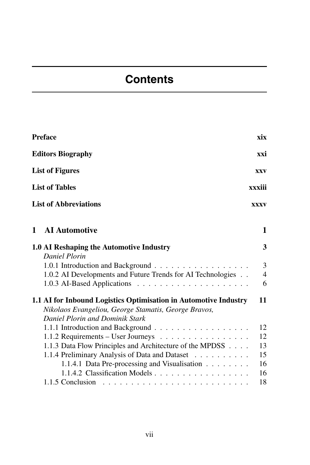# **Contents**

| <b>Preface</b>                                                                                                                                                                        | xix                                   |
|---------------------------------------------------------------------------------------------------------------------------------------------------------------------------------------|---------------------------------------|
| <b>Editors Biography</b>                                                                                                                                                              | xxi                                   |
| <b>List of Figures</b>                                                                                                                                                                | <b>XXV</b>                            |
| <b>List of Tables</b>                                                                                                                                                                 | xxxiii                                |
| <b>List of Abbreviations</b>                                                                                                                                                          | <b>XXXV</b>                           |
| <b>AI</b> Automotive<br>$\mathbf{1}$                                                                                                                                                  | 1                                     |
| 1.0 AI Reshaping the Automotive Industry                                                                                                                                              | 3                                     |
| Daniel Plorin<br>1.0.2 AI Developments and Future Trends for AI Technologies                                                                                                          | $\overline{3}$<br>$\overline{4}$<br>6 |
| 1.1 AI for Inbound Logistics Optimisation in Automotive Industry<br>Nikolaos Evangeliou, George Stamatis, George Bravos,<br>Daniel Plorin and Dominik Stark                           | 11                                    |
| 1.1.1 Introduction and Background<br>1.1.2 Requirements - User Journeys<br>1.1.3 Data Flow Principles and Architecture of the MPDSS<br>1.1.4 Preliminary Analysis of Data and Dataset | 12<br>12<br>13<br>15                  |
| 1.1.4.1 Data Pre-processing and Visualisation<br>1.1.4.2 Classification Models                                                                                                        | 16<br>16<br>18                        |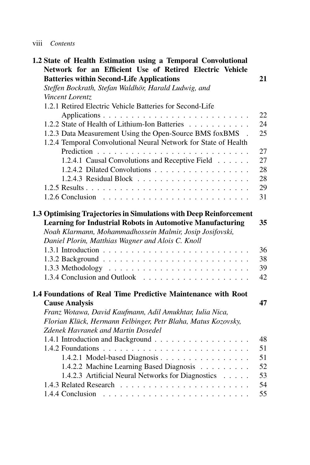| Contents<br><b>V111</b> |  |
|-------------------------|--|
|-------------------------|--|

| 1.2 State of Health Estimation using a Temporal Convolutional                                              |    |
|------------------------------------------------------------------------------------------------------------|----|
| Network for an Efficient Use of Retired Electric Vehicle                                                   |    |
| <b>Batteries within Second-Life Applications</b>                                                           | 21 |
| Steffen Bockrath, Stefan Waldhör, Harald Ludwig, and                                                       |    |
| Vincent Lorentz                                                                                            |    |
| 1.2.1 Retired Electric Vehicle Batteries for Second-Life                                                   |    |
|                                                                                                            | 22 |
| 1.2.2 State of Health of Lithium-Ion Batteries                                                             | 24 |
| 1.2.3 Data Measurement Using the Open-Source BMS foxBMS .                                                  | 25 |
| 1.2.4 Temporal Convolutional Neural Network for State of Health                                            |    |
|                                                                                                            | 27 |
| 1.2.4.1 Causal Convolutions and Receptive Field                                                            | 27 |
| 1.2.4.2 Dilated Convolutions                                                                               | 28 |
|                                                                                                            | 28 |
|                                                                                                            | 29 |
|                                                                                                            | 31 |
| 1.3 Optimising Trajectories in Simulations with Deep Reinforcement                                         |    |
| <b>Learning for Industrial Robots in Automotive Manufacturing</b>                                          | 35 |
| Noah Klarmann, Mohammadhossein Malmir, Josip Josifovski,                                                   |    |
| Daniel Plorin, Matthias Wagner and Alois C. Knoll                                                          |    |
|                                                                                                            | 36 |
|                                                                                                            | 38 |
|                                                                                                            | 39 |
|                                                                                                            | 42 |
|                                                                                                            |    |
| 1.4 Foundations of Real Time Predictive Maintenance with Root<br><b>Cause Analysis</b>                     | 47 |
|                                                                                                            |    |
| Franz Wotawa, David Kaufmann, Adil Amukhtar, Iulia Nica,                                                   |    |
| Florian Klück, Hermann Felbinger, Petr Blaha, Matus Kozovsky,<br><b>Zdenek Havranek and Martin Dosedel</b> |    |
|                                                                                                            | 48 |
| 1.4.1 Introduction and Background                                                                          |    |
|                                                                                                            | 51 |
| 1.4.2.1 Model-based Diagnosis                                                                              | 51 |
| 1.4.2.2 Machine Learning Based Diagnosis                                                                   | 52 |
| 1.4.2.3 Artificial Neural Networks for Diagnostics                                                         | 53 |
|                                                                                                            | 54 |
|                                                                                                            | 55 |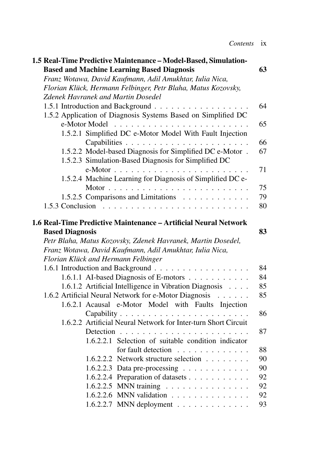| 1.5 Real-Time Predictive Maintenance - Model-Based, Simulation-  |    |
|------------------------------------------------------------------|----|
| <b>Based and Machine Learning Based Diagnosis</b>                | 63 |
| Franz Wotawa, David Kaufmann, Adil Amukhtar, Iulia Nica,         |    |
| Florian Klück, Hermann Felbinger, Petr Blaha, Matus Kozovsky,    |    |
| <b>Zdenek Havranek and Martin Dosedel</b>                        |    |
| 1.5.1 Introduction and Background                                | 64 |
| 1.5.2 Application of Diagnosis Systems Based on Simplified DC    |    |
|                                                                  | 65 |
| 1.5.2.1 Simplified DC e-Motor Model With Fault Injection         | 66 |
| 1.5.2.2 Model-based Diagnosis for Simplified DC e-Motor.         | 67 |
| 1.5.2.3 Simulation-Based Diagnosis for Simplified DC             |    |
| 1.5.2.4 Machine Learning for Diagnosis of Simplified DC e-       | 71 |
|                                                                  | 75 |
| 1.5.2.5 Comparisons and Limitations                              | 79 |
|                                                                  | 80 |
|                                                                  |    |
| 1.6 Real-Time Predictive Maintenance - Artificial Neural Network |    |
| <b>Based Diagnosis</b>                                           | 83 |
| Petr Blaha, Matus Kozovsky, Zdenek Havranek, Martin Dosedel,     |    |
| Franz Wotawa, David Kaufmann, Adil Amukhtar, Iulia Nica,         |    |
| Florian Klück and Hermann Felbinger                              |    |
|                                                                  | 84 |
| 1.6.1.1 AI-based Diagnosis of E-motors                           | 84 |
| 1.6.1.2 Artificial Intelligence in Vibration Diagnosis           | 85 |
| 1.6.2 Artificial Neural Network for e-Motor Diagnosis            | 85 |
| 1.6.2.1 Acausal e-Motor Model with Faults Injection              |    |
|                                                                  | 86 |
| 1.6.2.2 Artificial Neural Network for Inter-turn Short Circuit   |    |
|                                                                  | 87 |
| 1.6.2.2.1 Selection of suitable condition indicator              |    |
| for fault detection                                              | 88 |
| 1.6.2.2.2 Network structure selection                            | 90 |
| 1.6.2.2.3 Data pre-processing $\ldots \ldots \ldots \ldots$      | 90 |
| 1.6.2.2.4 Preparation of datasets                                | 92 |
| 1.6.2.2.5 MNN training                                           | 92 |
| 1.6.2.2.6 MNN validation                                         | 92 |
| 1.6.2.2.7 MNN deployment $\ldots \ldots \ldots \ldots$           | 93 |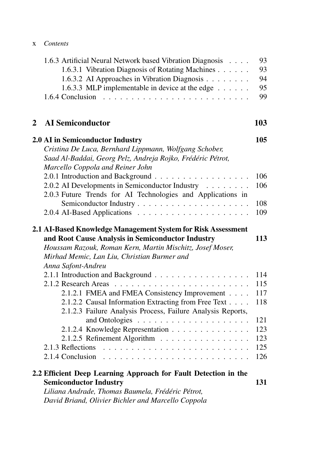|   | 1.6.3 Artificial Neural Network based Vibration Diagnosis<br>1.6.3.1 Vibration Diagnosis of Rotating Machines<br>1.6.3.2 AI Approaches in Vibration Diagnosis<br>1.6.3.3 MLP implementable in device at the edge $\dots$                            | 93<br>93<br>94<br>95<br>99 |
|---|-----------------------------------------------------------------------------------------------------------------------------------------------------------------------------------------------------------------------------------------------------|----------------------------|
| 2 | <b>AI</b> Semiconductor                                                                                                                                                                                                                             | 103                        |
|   | 2.0 AI in Semiconductor Industry                                                                                                                                                                                                                    | 105                        |
|   | Cristina De Luca, Bernhard Lippmann, Wolfgang Schober,<br>Saad Al-Baddai, Georg Pelz, Andreja Rojko, Frédéric Pétrot,<br>Marcello Coppola and Reiner John                                                                                           |                            |
|   | 2.0.1 Introduction and Background                                                                                                                                                                                                                   | 106                        |
|   | 2.0.2 AI Developments in Semiconductor Industry<br>2.0.3 Future Trends for AI Technologies and Applications in                                                                                                                                      | 106                        |
|   |                                                                                                                                                                                                                                                     | 108                        |
|   |                                                                                                                                                                                                                                                     | 109                        |
|   | 2.1 AI-Based Knowledge Management System for Risk Assessment<br>and Root Cause Analysis in Semiconductor Industry<br>Houssam Razouk, Roman Kern, Martin Mischitz, Josef Moser,<br>Mirhad Memic, Lan Liu, Christian Burmer and<br>Anna Safont-Andreu | 113                        |
|   | 2.1.1 Introduction and Background                                                                                                                                                                                                                   | 114                        |
|   |                                                                                                                                                                                                                                                     | 115                        |
|   | 2.1.2.1 FMEA and FMEA Consistency Improvement                                                                                                                                                                                                       | 117                        |
|   | 2.1.2.2 Causal Information Extracting from Free Text<br>2.1.2.3 Failure Analysis Process, Failure Analysis Reports,                                                                                                                                 | 118                        |
|   |                                                                                                                                                                                                                                                     | 121                        |
|   | 2.1.2.4 Knowledge Representation                                                                                                                                                                                                                    | 123                        |
|   | 2.1.2.5 Refinement Algorithm                                                                                                                                                                                                                        | 123                        |
|   |                                                                                                                                                                                                                                                     | 125<br>126                 |
|   |                                                                                                                                                                                                                                                     |                            |
|   | 2.2 Efficient Deep Learning Approach for Fault Detection in the<br><b>Semiconductor Industry</b><br>Liliana Andrade, Thomas Baumela, Frédéric Pétrot,                                                                                               | 131                        |

*David Briand, Olivier Bichler and Marcello Coppola*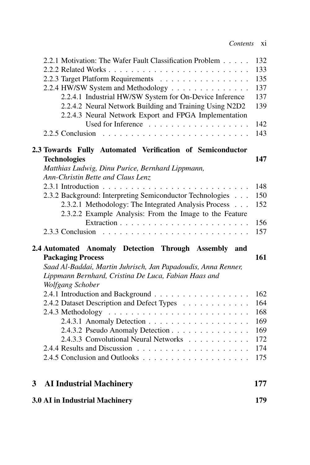| 3 <sup>1</sup> | Lippmann Bernhard, Cristina De Luca, Fabian Haas and<br>Wolfgang Schober<br>2.4.1 Introduction and Background<br>2.4.2 Dataset Description and Defect Types<br>2.4.3.2 Pseudo Anomaly Detection<br>2.4.3.3 Convolutional Neural Networks<br><b>AI Industrial Machinery</b> | 162<br>164<br>168<br>169<br>169<br>172<br>174<br>175<br>177 |
|----------------|----------------------------------------------------------------------------------------------------------------------------------------------------------------------------------------------------------------------------------------------------------------------------|-------------------------------------------------------------|
|                |                                                                                                                                                                                                                                                                            |                                                             |
|                |                                                                                                                                                                                                                                                                            |                                                             |
|                |                                                                                                                                                                                                                                                                            |                                                             |
|                |                                                                                                                                                                                                                                                                            |                                                             |
|                |                                                                                                                                                                                                                                                                            |                                                             |
|                |                                                                                                                                                                                                                                                                            |                                                             |
|                |                                                                                                                                                                                                                                                                            |                                                             |
|                |                                                                                                                                                                                                                                                                            |                                                             |
|                |                                                                                                                                                                                                                                                                            |                                                             |
|                |                                                                                                                                                                                                                                                                            |                                                             |
|                |                                                                                                                                                                                                                                                                            |                                                             |
|                | Saad Al-Baddai, Martin Juhrisch, Jan Papadoudis, Anna Renner,                                                                                                                                                                                                              |                                                             |
|                | <b>Packaging Process</b>                                                                                                                                                                                                                                                   | 161                                                         |
|                | 2.4 Automated Anomaly Detection Through Assembly and                                                                                                                                                                                                                       |                                                             |
|                |                                                                                                                                                                                                                                                                            |                                                             |
|                |                                                                                                                                                                                                                                                                            | 156<br>157                                                  |
|                | 2.3.2.2 Example Analysis: From the Image to the Feature                                                                                                                                                                                                                    |                                                             |
|                | 2.3.2.1 Methodology: The Integrated Analysis Process                                                                                                                                                                                                                       | 152                                                         |
|                | 2.3.2 Background: Interpreting Semiconductor Technologies                                                                                                                                                                                                                  | 150                                                         |
|                |                                                                                                                                                                                                                                                                            | 148                                                         |
|                | Ann-Christin Bette and Claus Lenz                                                                                                                                                                                                                                          |                                                             |
|                | Matthias Ludwig, Dinu Purice, Bernhard Lippmann,                                                                                                                                                                                                                           |                                                             |
|                | <b>Technologies</b>                                                                                                                                                                                                                                                        | 147                                                         |
|                | 2.3 Towards Fully Automated Verification of Semiconductor                                                                                                                                                                                                                  |                                                             |
|                |                                                                                                                                                                                                                                                                            | 143                                                         |
|                | Used for Inference                                                                                                                                                                                                                                                         | 142                                                         |
|                | 2.2.4.3 Neural Network Export and FPGA Implementation                                                                                                                                                                                                                      |                                                             |
|                | 2.2.4.2 Neural Network Building and Training Using N2D2                                                                                                                                                                                                                    | 139                                                         |
|                | 2.2.4.1 Industrial HW/SW System for On-Device Inference                                                                                                                                                                                                                    | 137                                                         |
|                | 2.2.4 HW/SW System and Methodology                                                                                                                                                                                                                                         | 137                                                         |
|                | 2.2.3 Target Platform Requirements                                                                                                                                                                                                                                         | 135                                                         |
|                |                                                                                                                                                                                                                                                                            | 133                                                         |
|                | 2.2.1 Motivation: The Wafer Fault Classification Problem                                                                                                                                                                                                                   | 132                                                         |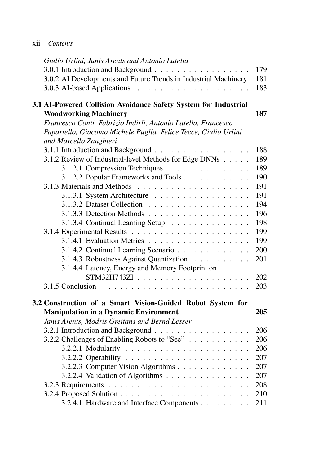| X11 | Contents |
|-----|----------|
|     |          |

| Giulio Urlini, Janis Arents and Antonio Latella                                                        |
|--------------------------------------------------------------------------------------------------------|
| 3.0.1 Introduction and Background<br>179                                                               |
| 3.0.2 AI Developments and Future Trends in Industrial Machinery<br>181                                 |
| 183                                                                                                    |
|                                                                                                        |
| 3.1 AI-Powered Collision Avoidance Safety System for Industrial<br><b>Woodworking Machinery</b><br>187 |
| Francesco Conti, Fabrizio Indirli, Antonio Latella, Francesco                                          |
| Papariello, Giacomo Michele Puglia, Felice Tecce, Giulio Urlini                                        |
| and Marcello Zanghieri                                                                                 |
| 3.1.1 Introduction and Background<br>188                                                               |
| 3.1.2 Review of Industrial-level Methods for Edge DNNs<br>189                                          |
| 3.1.2.1 Compression Techniques<br>189                                                                  |
| 3.1.2.2 Popular Frameworks and Tools<br>190                                                            |
| 191                                                                                                    |
| 3.1.3.1 System Architecture<br>191                                                                     |
| 194                                                                                                    |
| 196                                                                                                    |
| 198<br>3.1.3.4 Continual Learning Setup                                                                |
| 199                                                                                                    |
| 199                                                                                                    |
| 200<br>3.1.4.2 Continual Learning Scenario                                                             |
| 3.1.4.3 Robustness Against Quantization<br>201                                                         |
| 3.1.4.4 Latency, Energy and Memory Footprint on                                                        |
| 202                                                                                                    |
| 203<br>3.1.5 Conclusion                                                                                |
|                                                                                                        |
| 3.2 Construction of a Smart Vision-Guided Robot System for                                             |
| <b>Manipulation in a Dynamic Environment</b><br>205                                                    |
| Janis Arents, Modris Greitans and Bernd Lesser                                                         |
| 3.2.1 Introduction and Background<br>206                                                               |
| 3.2.2 Challenges of Enabling Robots to "See"<br>206                                                    |
| 206                                                                                                    |
| 207                                                                                                    |
| 3.2.2.3 Computer Vision Algorithms<br>207                                                              |
| 3.2.2.4 Validation of Algorithms<br>207                                                                |
| 208                                                                                                    |
| 210                                                                                                    |
| 3.2.4.1 Hardware and Interface Components<br>211                                                       |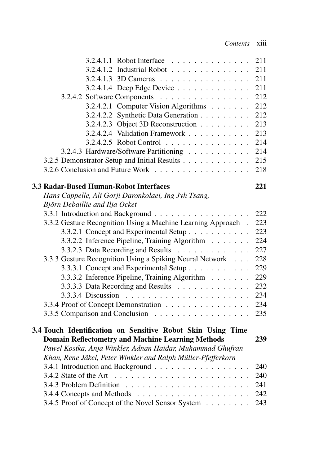| 3.2.4.1.1 Robot Interface                                    | 211 |
|--------------------------------------------------------------|-----|
| 3.2.4.1.2 Industrial Robot                                   | 211 |
| 3.2.4.1.3 3D Cameras                                         | 211 |
| 3.2.4.1.4 Deep Edge Device                                   | 211 |
| 3.2.4.2 Software Components                                  | 212 |
| 3.2.4.2.1 Computer Vision Algorithms                         | 212 |
| 3.2.4.2.2 Synthetic Data Generation                          | 212 |
| 3.2.4.2.3 Object 3D Reconstruction $\ldots \ldots \ldots$    | 213 |
| 3.2.4.2.4 Validation Framework                               | 213 |
| 3.2.4.2.5 Robot Control                                      | 214 |
| 3.2.4.3 Hardware/Software Partitioning                       | 214 |
| 3.2.5 Demonstrator Setup and Initial Results                 | 215 |
| 3.2.6 Conclusion and Future Work                             | 218 |
| 3.3 Radar-Based Human-Robot Interfaces                       | 221 |
| Hans Cappelle, Ali Gorji Daronkolaei, Ing Jyh Tsang,         |     |
| Björn Debaillie and Ilja Ocket                               |     |
| 3.3.1 Introduction and Background                            | 222 |
| 3.3.2 Gesture Recognition Using a Machine Learning Approach. | 223 |
| 3.3.2.1 Concept and Experimental Setup                       | 223 |
| 3.3.2.2 Inference Pipeline, Training Algorithm               | 224 |
| 3.3.2.3 Data Recording and Results                           | 227 |
| 3.3.3 Gesture Recognition Using a Spiking Neural Network     | 228 |
| 3.3.3.1 Concept and Experimental Setup                       | 229 |
| 3.3.3.2 Inference Pipeline, Training Algorithm               | 229 |
| 3.3.3.3 Data Recording and Results                           | 232 |
|                                                              | 234 |
| 3.3.4 Proof of Concept Demonstration                         | 234 |
| 3.3.5 Comparison and Conclusion                              | 235 |
| 3.4 Touch Identification on Sensitive Robot Skin Using Time  |     |
| <b>Domain Reflectometry and Machine Learning Methods</b>     | 239 |
| Pawel Kostka, Anja Winkler, Adnan Haidar, Muhammad Ghufran   |     |
| Khan, Rene Jäkel, Peter Winkler and Ralph Müller-Pfefferkorn |     |
| 3.4.1 Introduction and Background                            | 240 |
|                                                              | 240 |
|                                                              | 241 |
|                                                              | 242 |
| 3.4.5 Proof of Concept of the Novel Sensor System            | 243 |
|                                                              |     |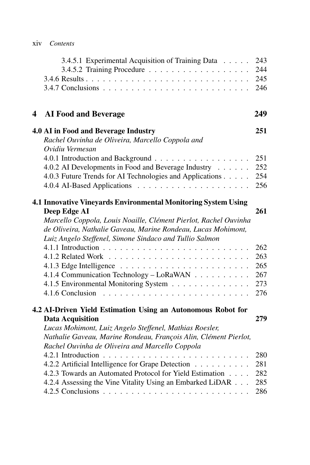|   | 3.4.5.1 Experimental Acquisition of Training Data                                                                                                                                            | 243<br>244<br>245<br>246 |
|---|----------------------------------------------------------------------------------------------------------------------------------------------------------------------------------------------|--------------------------|
| 4 | <b>AI Food and Beverage</b>                                                                                                                                                                  | 249                      |
|   | 4.0 AI in Food and Beverage Industry                                                                                                                                                         | 251                      |
|   | Rachel Ouvinha de Oliveira, Marcello Coppola and                                                                                                                                             |                          |
|   | Ovidiu Vermesan<br>4.0.1 Introduction and Background                                                                                                                                         | 251                      |
|   | 4.0.2 AI Developments in Food and Beverage Industry                                                                                                                                          | 252                      |
|   | 4.0.3 Future Trends for AI Technologies and Applications                                                                                                                                     | 254                      |
|   |                                                                                                                                                                                              | 256                      |
|   | 4.1 Innovative Vineyards Environmental Monitoring System Using                                                                                                                               |                          |
|   | Deep Edge AI                                                                                                                                                                                 | 261                      |
|   | Marcello Coppola, Louis Noaille, Clément Pierlot, Rachel Ouvinha<br>de Oliveira, Nathalie Gaveau, Marine Rondeau, Lucas Mohimont,<br>Luiz Angelo Steffenel, Simone Sindaco and Tullio Salmon |                          |
|   |                                                                                                                                                                                              | 262                      |
|   |                                                                                                                                                                                              | 263                      |
|   |                                                                                                                                                                                              | 265                      |
|   | 4.1.4 Communication Technology - LoRaWAN                                                                                                                                                     | 267                      |
|   | 4.1.5 Environmental Monitoring System                                                                                                                                                        | 273<br>276               |
|   |                                                                                                                                                                                              |                          |
|   | 4.2 AI-Driven Yield Estimation Using an Autonomous Robot for                                                                                                                                 |                          |
|   | <b>Data Acquisition</b>                                                                                                                                                                      | 279                      |
|   | Lucas Mohimont, Luiz Angelo Steffenel, Mathias Roesler,<br>Nathalie Gaveau, Marine Rondeau, François Alin, Clément Pierlot,                                                                  |                          |
|   | Rachel Ouvinha de Oliveira and Marcello Coppola                                                                                                                                              |                          |
|   |                                                                                                                                                                                              | 280                      |
|   | 4.2.2 Artificial Intelligence for Grape Detection                                                                                                                                            | 281                      |
|   | 4.2.3 Towards an Automated Protocol for Yield Estimation                                                                                                                                     | 282                      |
|   | 4.2.4 Assessing the Vine Vitality Using an Embarked LiDAR                                                                                                                                    | 285<br>286               |
|   |                                                                                                                                                                                              |                          |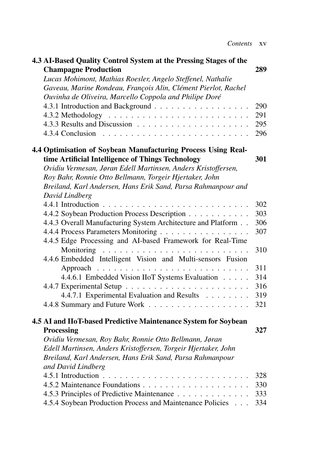| 4.3 AI-Based Quality Control System at the Pressing Stages of the |     |
|-------------------------------------------------------------------|-----|
| <b>Champagne Production</b>                                       | 289 |
| Lucas Mohimont, Mathias Roesler, Angelo Steffenel, Nathalie       |     |
| Gaveau, Marine Rondeau, François Alin, Clément Pierlot, Rachel    |     |
| Ouvinha de Oliveira, Marcello Coppola and Philipe Doré            |     |
| 4.3.1 Introduction and Background                                 | 290 |
|                                                                   | 291 |
|                                                                   | 295 |
|                                                                   | 296 |
| 4.4 Optimisation of Soybean Manufacturing Process Using Real-     |     |
| time Artificial Intelligence of Things Technology                 | 301 |
| Ovidiu Vermesan, Jøran Edell Martinsen, Anders Kristoffersen,     |     |
| Roy Bahr, Ronnie Otto Bellmann, Torgeir Hjertaker, John           |     |
| Breiland, Karl Andersen, Hans Erik Sand, Parsa Rahmanpour and     |     |
| David Lindberg                                                    |     |
|                                                                   | 302 |
| 4.4.2 Soybean Production Process Description                      | 303 |
| 4.4.3 Overall Manufacturing System Architecture and Platform      | 306 |
| 4.4.4 Process Parameters Monitoring                               | 307 |
| 4.4.5 Edge Processing and AI-based Framework for Real-Time        |     |
|                                                                   | 310 |
| 4.4.6 Embedded Intelligent Vision and Multi-sensors Fusion        |     |
|                                                                   | 311 |
| 4.4.6.1 Embedded Vision IIoT Systems Evaluation                   | 314 |
|                                                                   | 316 |
| 4.4.7.1 Experimental Evaluation and Results                       | 319 |
|                                                                   | 321 |
| 4.5 AI and IIoT-based Predictive Maintenance System for Soybean   |     |
| <b>Processing</b>                                                 | 327 |
| Ovidiu Vermesan, Roy Bahr, Ronnie Otto Bellmann, Jøran            |     |
| Edell Martinsen, Anders Kristoffersen, Torgeir Hjertaker, John    |     |
| Breiland, Karl Andersen, Hans Erik Sand, Parsa Rahmanpour         |     |
| and David Lindberg                                                |     |
|                                                                   | 328 |
|                                                                   | 330 |
| 4.5.3 Principles of Predictive Maintenance                        | 333 |
| 4.5.4 Soybean Production Process and Maintenance Policies         | 334 |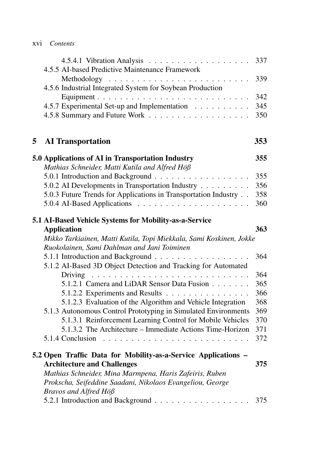|   | 4.5.5 AI-based Predictive Maintenance Framework                                                                    | 337 |
|---|--------------------------------------------------------------------------------------------------------------------|-----|
|   | 4.5.6 Industrial Integrated System for Soybean Production                                                          | 339 |
|   |                                                                                                                    | 342 |
|   | 4.5.7 Experimental Set-up and Implementation                                                                       | 345 |
|   |                                                                                                                    | 350 |
| 5 | <b>AI</b> Transportation                                                                                           | 353 |
|   | 5.0 Applications of AI in Transportation Industry<br>Mathias Schneider, Matti Kutila and Alfred Höß                | 355 |
|   | 5.0.1 Introduction and Background                                                                                  | 355 |
|   | 5.0.2 AI Developments in Transportation Industry                                                                   | 356 |
|   | 5.0.3 Future Trends for Applications in Transportation Industry                                                    | 358 |
|   |                                                                                                                    | 360 |
|   | 5.1 AI-Based Vehicle Systems for Mobility-as-a-Service                                                             |     |
|   | <b>Application</b>                                                                                                 | 363 |
|   |                                                                                                                    |     |
|   | Mikko Tarkiainen, Matti Kutila, Topi Miekkala, Sami Koskinen, Jokke<br>Ruokolainen, Sami Dahlman and Jani Toiminen |     |
|   |                                                                                                                    | 364 |
|   | 5.1.2 AI-Based 3D Object Detection and Tracking for Automated                                                      | 364 |
|   | 5.1.2.1 Camera and LiDAR Sensor Data Fusion                                                                        | 365 |
|   | 5.1.2.2 Experiments and Results                                                                                    | 366 |
|   | 5.1.2.3 Evaluation of the Algorithm and Vehicle Integration                                                        | 368 |
|   | 5.1.3 Autonomous Control Prototyping in Simulated Environments                                                     | 369 |
|   | 5.1.3.1 Reinforcement Learning Control for Mobile Vehicles                                                         | 370 |
|   | 5.1.3.2 The Architecture – Immediate Actions Time-Horizon                                                          | 371 |
|   | 5.1.4 Conclusion $\ldots \ldots \ldots \ldots \ldots \ldots \ldots$                                                | 372 |
|   | 5.2 Open Traffic Data for Mobility-as-a-Service Applications -                                                     |     |
|   | <b>Architecture and Challenges</b>                                                                                 | 375 |
|   | Mathias Schneider, Mina Marmpena, Haris Zafeiris, Ruben                                                            |     |
|   | Prokscha, Seifeddine Saadani, Nikolaos Evangeliou, George                                                          |     |
|   | Bravos and Alfred Höß<br>5.2.1 Introduction and Background 375                                                     |     |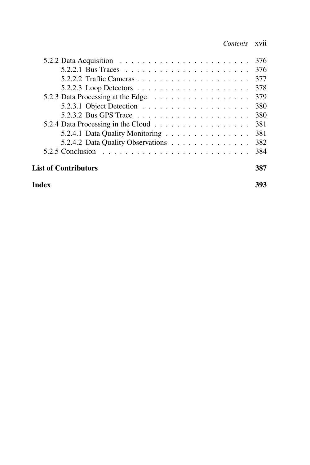| 5.2.2 Data Acquisition $\ldots \ldots \ldots \ldots \ldots \ldots \ldots$  | 376 |
|----------------------------------------------------------------------------|-----|
|                                                                            | 376 |
|                                                                            | 377 |
| 5.2.2.3 Loop Detectors $\ldots \ldots \ldots \ldots \ldots \ldots$         | 378 |
|                                                                            | 379 |
| 5.2.3.1 Object Detection $\ldots \ldots \ldots \ldots \ldots \ldots$       | 380 |
|                                                                            | 380 |
|                                                                            | 381 |
| 5.2.4.1 Data Quality Monitoring                                            | 381 |
| 5.2.4.2 Data Quality Observations                                          | 382 |
| 5.2.5 Conclusion $\ldots \ldots \ldots \ldots \ldots \ldots \ldots \ldots$ | 384 |
| <b>List of Contributors</b>                                                | 387 |
| Index                                                                      | 393 |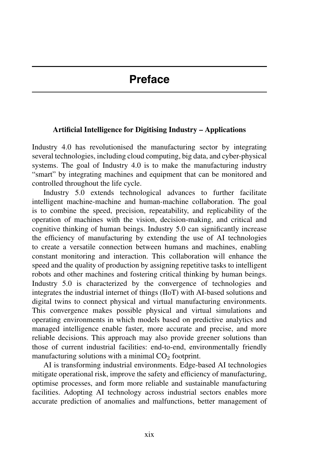#### **Artificial Intelligence for Digitising Industry – Applications**

Industry 4.0 has revolutionised the manufacturing sector by integrating several technologies, including cloud computing, big data, and cyber-physical systems. The goal of Industry 4.0 is to make the manufacturing industry "smart" by integrating machines and equipment that can be monitored and controlled throughout the life cycle.

Industry 5.0 extends technological advances to further facilitate intelligent machine-machine and human-machine collaboration. The goal is to combine the speed, precision, repeatability, and replicability of the operation of machines with the vision, decision-making, and critical and cognitive thinking of human beings. Industry 5.0 can significantly increase the efficiency of manufacturing by extending the use of AI technologies to create a versatile connection between humans and machines, enabling constant monitoring and interaction. This collaboration will enhance the speed and the quality of production by assigning repetitive tasks to intelligent robots and other machines and fostering critical thinking by human beings. Industry 5.0 is characterized by the convergence of technologies and integrates the industrial internet of things (IIoT) with AI-based solutions and digital twins to connect physical and virtual manufacturing environments. This convergence makes possible physical and virtual simulations and operating environments in which models based on predictive analytics and managed intelligence enable faster, more accurate and precise, and more reliable decisions. This approach may also provide greener solutions than those of current industrial facilities: end-to-end, environmentally friendly manufacturing solutions with a minimal  $CO<sub>2</sub>$  footprint.

AI is transforming industrial environments. Edge-based AI technologies mitigate operational risk, improve the safety and efficiency of manufacturing, optimise processes, and form more reliable and sustainable manufacturing facilities. Adopting AI technology across industrial sectors enables more accurate prediction of anomalies and malfunctions, better management of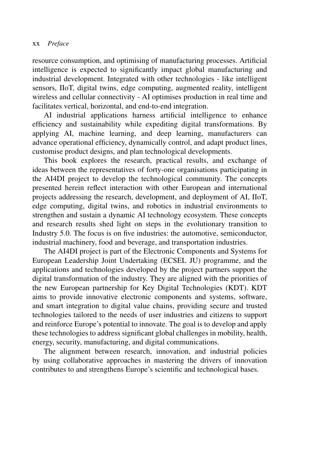resource consumption, and optimising of manufacturing processes. Artificial intelligence is expected to significantly impact global manufacturing and industrial development. Integrated with other technologies - like intelligent sensors, IIoT, digital twins, edge computing, augmented reality, intelligent wireless and cellular connectivity - AI optimises production in real time and facilitates vertical, horizontal, and end-to-end integration.

AI industrial applications harness artificial intelligence to enhance efficiency and sustainability while expediting digital transformations. By applying AI, machine learning, and deep learning, manufacturers can advance operational efficiency, dynamically control, and adapt product lines, customise product designs, and plan technological developments.

This book explores the research, practical results, and exchange of ideas between the representatives of forty-one organisations participating in the AI4DI project to develop the technological community. The concepts presented herein reflect interaction with other European and international projects addressing the research, development, and deployment of AI, IIoT, edge computing, digital twins, and robotics in industrial environments to strengthen and sustain a dynamic AI technology ecosystem. These concepts and research results shed light on steps in the evolutionary transition to Industry 5.0. The focus is on five industries: the automotive, semiconductor, industrial machinery, food and beverage, and transportation industries.

The AI4DI project is part of the Electronic Components and Systems for European Leadership Joint Undertaking (ECSEL JU) programme, and the applications and technologies developed by the project partners support the digital transformation of the industry. They are aligned with the priorities of the new European partnership for Key Digital Technologies (KDT). KDT aims to provide innovative electronic components and systems, software, and smart integration to digital value chains, providing secure and trusted technologies tailored to the needs of user industries and citizens to support and reinforce Europe's potential to innovate. The goal is to develop and apply these technologies to address significant global challenges in mobility, health, energy, security, manufacturing, and digital communications.

The alignment between research, innovation, and industrial policies by using collaborative approaches in mastering the drivers of innovation contributes to and strengthens Europe's scientific and technological bases.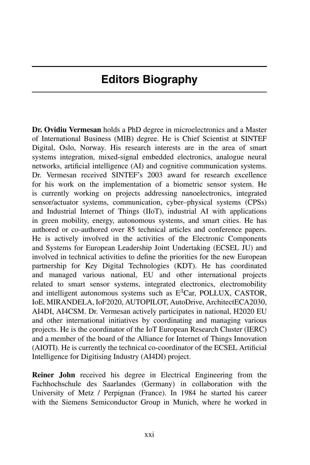**Dr. Ovidiu Vermesan** holds a PhD degree in microelectronics and a Master of International Business (MIB) degree. He is Chief Scientist at SINTEF Digital, Oslo, Norway. His research interests are in the area of smart systems integration, mixed-signal embedded electronics, analogue neural networks, artificial intelligence (AI) and cognitive communication systems. Dr. Vermesan received SINTEF's 2003 award for research excellence for his work on the implementation of a biometric sensor system. He is currently working on projects addressing nanoelectronics, integrated sensor/actuator systems, communication, cyber–physical systems (CPSs) and Industrial Internet of Things (IIoT), industrial AI with applications in green mobility, energy, autonomous systems, and smart cities. He has authored or co-authored over 85 technical articles and conference papers. He is actively involved in the activities of the Electronic Components and Systems for European Leadership Joint Undertaking (ECSEL JU) and involved in technical activities to define the priorities for the new European partnership for Key Digital Technologies (KDT). He has coordinated and managed various national, EU and other international projects related to smart sensor systems, integrated electronics, electromobility and intelligent autonomous systems such as  $E<sup>3</sup>Car$ , POLLUX, CASTOR, IoE, MIRANDELA, IoF2020, AUTOPILOT, AutoDrive, ArchitectECA2030, AI4DI, AI4CSM. Dr. Vermesan actively participates in national, H2020 EU and other international initiatives by coordinating and managing various projects. He is the coordinator of the IoT European Research Cluster (IERC) and a member of the board of the Alliance for Internet of Things Innovation (AIOTI). He is currently the technical co-coordinator of the ECSEL Artificial Intelligence for Digitising Industry (AI4DI) project.

**Reiner John** received his degree in Electrical Engineering from the Fachhochschule des Saarlandes (Germany) in collaboration with the University of Metz / Perpignan (France). In 1984 he started his career with the Siemens Semiconductor Group in Munich, where he worked in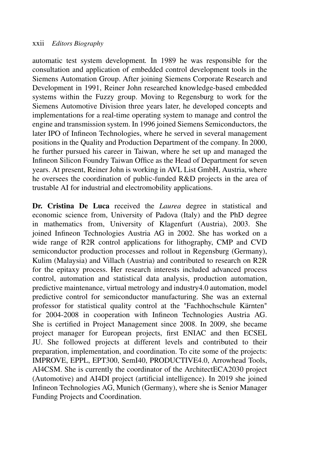automatic test system development*.* In 1989 he was responsible for the consultation and application of embedded control development tools in the Siemens Automation Group. After joining Siemens Corporate Research and Development in 1991, Reiner John researched knowledge-based embedded systems within the Fuzzy group. Moving to Regensburg to work for the Siemens Automotive Division three years later, he developed concepts and implementations for a real-time operating system to manage and control the engine and transmission system. In 1996 joined Siemens Semiconductors, the later IPO of Infineon Technologies, where he served in several management positions in the Quality and Production Department of the company. In 2000, he further pursued his career in Taiwan, where he set up and managed the Infineon Silicon Foundry Taiwan Office as the Head of Department for seven years. At present, Reiner John is working in AVL List GmbH, Austria, where he oversees the coordination of public-funded R&D projects in the area of trustable AI for industrial and electromobility applications.

**Dr. Cristina De Luca** received the *Laurea* degree in statistical and economic science from, University of Padova (Italy) and the PhD degree in mathematics from, University of Klagenfurt (Austria), 2003. She joined Infineon Technologies Austria AG in 2002. She has worked on a wide range of R2R control applications for lithography, CMP and CVD semiconductor production processes and rollout in Regensburg (Germany), Kulim (Malaysia) and Villach (Austria) and contributed to research on R2R for the epitaxy process. Her research interests included advanced process control, automation and statistical data analysis, production automation, predictive maintenance, virtual metrology and industry4.0 automation, model predictive control for semiconductor manufacturing. She was an external professor for statistical quality control at the "Fachhochschule Kärnten" for 2004-2008 in cooperation with Infineon Technologies Austria AG. She is certified in Project Management since 2008. In 2009, she became project manager for European projects, first ENIAC and then ECSEL JU. She followed projects at different levels and contributed to their preparation, implementation, and coordination. To cite some of the projects: IMPROVE, EPPL, EPT300, SemI40, PRODUCTIVE4.0, Arrowhead Tools, AI4CSM. She is currently the coordinator of the ArchitectECA2030 project (Automotive) and AI4DI project (artificial intelligence). In 2019 she joined Infineon Technologies AG, Munich (Germany), where she is Senior Manager Funding Projects and Coordination.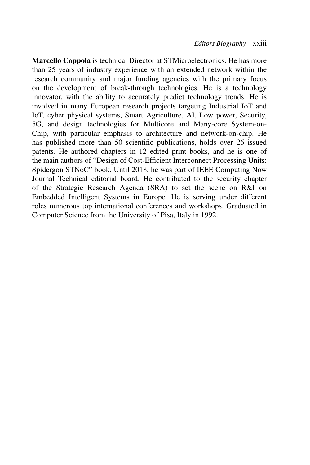**Marcello Coppola** is technical Director at STMicroelectronics. He has more than 25 years of industry experience with an extended network within the research community and major funding agencies with the primary focus on the development of break-through technologies. He is a technology innovator, with the ability to accurately predict technology trends. He is involved in many European research projects targeting Industrial IoT and IoT, cyber physical systems, Smart Agriculture, AI, Low power, Security, 5G, and design technologies for Multicore and Many-core System-on-Chip, with particular emphasis to architecture and network-on-chip. He has published more than 50 scientific publications, holds over 26 issued patents. He authored chapters in 12 edited print books, and he is one of the main authors of "Design of Cost-Efficient Interconnect Processing Units: Spidergon STNoC" book. Until 2018, he was part of IEEE Computing Now Journal Technical editorial board. He contributed to the security chapter of the Strategic Research Agenda (SRA) to set the scene on R&I on Embedded Intelligent Systems in Europe. He is serving under different roles numerous top international conferences and workshops. Graduated in Computer Science from the University of Pisa, Italy in 1992.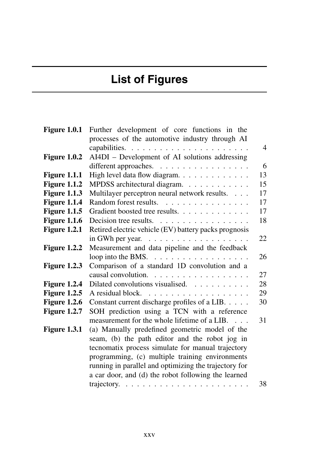# **List of Figures**

| <b>Figure 1.0.1</b> | Further development of core functions in the             |                |
|---------------------|----------------------------------------------------------|----------------|
|                     | processes of the automotive industry through AI          |                |
|                     |                                                          | $\overline{4}$ |
| Figure $1.0.2$      | AI4DI - Development of AI solutions addressing           |                |
|                     | different approaches.                                    | 6              |
| Figure 1.1.1        | High level data flow diagram.                            | 13             |
| <b>Figure 1.1.2</b> | MPDSS architectural diagram.                             | 15             |
| <b>Figure 1.1.3</b> | Multilayer perceptron neural network results.            | 17             |
| <b>Figure 1.1.4</b> | Random forest results.<br>.                              | 17             |
| <b>Figure 1.1.5</b> | Gradient boosted tree results.                           | 17             |
| <b>Figure 1.1.6</b> |                                                          | 18             |
| <b>Figure 1.2.1</b> | Retired electric vehicle (EV) battery packs prognosis    |                |
|                     | in GWh per year. $\ldots \ldots \ldots \ldots \ldots$    | 22             |
| Figure 1.2.2        | Measurement and data pipeline and the feedback           |                |
|                     | loop into the BMS. $\dots \dots \dots \dots \dots \dots$ | 26             |
| Figure $1.2.3$      | Comparison of a standard 1D convolution and a            |                |
|                     | causal convolution.                                      | 27             |
| Figure 1.2.4        | Dilated convolutions visualised.                         | 28             |
| <b>Figure 1.2.5</b> |                                                          | 29             |
| <b>Figure 1.2.6</b> | Constant current discharge profiles of a LIB.            | 30             |
| <b>Figure 1.2.7</b> | SOH prediction using a TCN with a reference              |                |
|                     | measurement for the whole lifetime of a LIB.             | 31             |
| <b>Figure 1.3.1</b> | (a) Manually predefined geometric model of the           |                |
|                     | seam, (b) the path editor and the robot jog in           |                |
|                     | tecnomatix process simulate for manual trajectory        |                |
|                     | programming, (c) multiple training environments          |                |
|                     | running in parallel and optimizing the trajectory for    |                |
|                     | a car door, and (d) the robot following the learned      |                |
|                     |                                                          | 38             |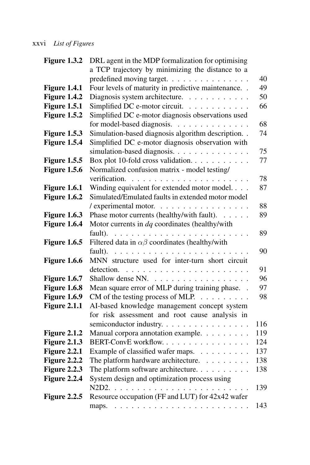### xxvi *List of Figures*

| Figure 1.3.2        | DRL agent in the MDP formalization for optimising                                                                                                                                                                                                                                                                                                                                                                                                                          |     |
|---------------------|----------------------------------------------------------------------------------------------------------------------------------------------------------------------------------------------------------------------------------------------------------------------------------------------------------------------------------------------------------------------------------------------------------------------------------------------------------------------------|-----|
|                     | a TCP trajectory by minimizing the distance to a                                                                                                                                                                                                                                                                                                                                                                                                                           |     |
|                     | predefined moving target.                                                                                                                                                                                                                                                                                                                                                                                                                                                  | 40  |
| Figure 1.4.1        | Four levels of maturity in predictive maintenance. .                                                                                                                                                                                                                                                                                                                                                                                                                       | 49  |
| Figure 1.4.2        | Diagnosis system architecture.                                                                                                                                                                                                                                                                                                                                                                                                                                             | 50  |
| Figure 1.5.1        | Simplified DC e-motor circuit.                                                                                                                                                                                                                                                                                                                                                                                                                                             | 66  |
| Figure 1.5.2        | Simplified DC e-motor diagnosis observations used                                                                                                                                                                                                                                                                                                                                                                                                                          |     |
|                     | for model-based diagnosis.                                                                                                                                                                                                                                                                                                                                                                                                                                                 | 68  |
| Figure 1.5.3        | Simulation-based diagnosis algorithm description. .                                                                                                                                                                                                                                                                                                                                                                                                                        | 74  |
| Figure 1.5.4        | Simplified DC e-motor diagnosis observation with                                                                                                                                                                                                                                                                                                                                                                                                                           |     |
|                     | simulation-based diagnosis.                                                                                                                                                                                                                                                                                                                                                                                                                                                | 75  |
| <b>Figure 1.5.5</b> | Box plot 10-fold cross validation.                                                                                                                                                                                                                                                                                                                                                                                                                                         | 77  |
| <b>Figure 1.5.6</b> | Normalized confusion matrix - model testing/                                                                                                                                                                                                                                                                                                                                                                                                                               |     |
|                     |                                                                                                                                                                                                                                                                                                                                                                                                                                                                            | 78  |
| Figure 1.6.1        | Winding equivalent for extended motor model.                                                                                                                                                                                                                                                                                                                                                                                                                               | 87  |
| Figure 1.6.2        | Simulated/Emulated faults in extended motor model                                                                                                                                                                                                                                                                                                                                                                                                                          |     |
|                     | / experimental motor.                                                                                                                                                                                                                                                                                                                                                                                                                                                      | 88  |
| Figure 1.6.3        | Phase motor currents (healthy/with fault).                                                                                                                                                                                                                                                                                                                                                                                                                                 | 89  |
| Figure 1.6.4        | Motor currents in dq coordinates (healthy/with                                                                                                                                                                                                                                                                                                                                                                                                                             |     |
|                     | fault).                                                                                                                                                                                                                                                                                                                                                                                                                                                                    | 89  |
| <b>Figure 1.6.5</b> | Filtered data in $\alpha\beta$ coordinates (healthy/with                                                                                                                                                                                                                                                                                                                                                                                                                   |     |
|                     |                                                                                                                                                                                                                                                                                                                                                                                                                                                                            | 90  |
| Figure 1.6.6        | MNN structure used for inter-turn short circuit                                                                                                                                                                                                                                                                                                                                                                                                                            |     |
|                     |                                                                                                                                                                                                                                                                                                                                                                                                                                                                            | 91  |
| <b>Figure 1.6.7</b> | Shallow dense NN.                                                                                                                                                                                                                                                                                                                                                                                                                                                          | 96  |
| <b>Figure 1.6.8</b> | Mean square error of MLP during training phase. .                                                                                                                                                                                                                                                                                                                                                                                                                          | 97  |
| Figure 1.6.9        | CM of the testing process of MLP.                                                                                                                                                                                                                                                                                                                                                                                                                                          | 98  |
| <b>Figure 2.1.1</b> | AI-based knowledge management concept system                                                                                                                                                                                                                                                                                                                                                                                                                               |     |
|                     | for risk assessment and root cause analysis in                                                                                                                                                                                                                                                                                                                                                                                                                             |     |
|                     | semiconductor industry.                                                                                                                                                                                                                                                                                                                                                                                                                                                    | 116 |
| <b>Figure 2.1.2</b> | Manual corpora annotation example.                                                                                                                                                                                                                                                                                                                                                                                                                                         | 119 |
| <b>Figure 2.1.3</b> | BERT-ConvE workflow.                                                                                                                                                                                                                                                                                                                                                                                                                                                       | 124 |
| Figure 2.2.1        | Example of classified wafer maps.                                                                                                                                                                                                                                                                                                                                                                                                                                          | 137 |
| Figure 2.2.2        | The platform hardware architecture.                                                                                                                                                                                                                                                                                                                                                                                                                                        | 138 |
| <b>Figure 2.2.3</b> | The platform software architecture.                                                                                                                                                                                                                                                                                                                                                                                                                                        | 138 |
| Figure 2.2.4        | System design and optimization process using                                                                                                                                                                                                                                                                                                                                                                                                                               |     |
|                     | N2D2. .<br>$\mathcal{L}^{(1)}\left(\mathcal{L}^{(1)}\left(\mathcal{L}^{(1)}\left(\mathcal{L}^{(1)}\left(\mathcal{L}^{(1)}\left(\mathcal{L}^{(1)}\left(\mathcal{L}^{(1)}\left(\mathcal{L}^{(1)}\left(\mathcal{L}^{(1)}\left(\mathcal{L}^{(1)}\left(\mathcal{L}^{(1)}\right)\mathcal{L}^{(1)}\right)\right)\right)\right)\right)\right)\right)\right)\right)\leq\mathcal{L}^{(1)}\left(\mathcal{L}^{(1)}\left(\mathcal{L}^{(1)}\left(\mathcal{L}^{(1)}\left(\mathcal{L}^{(1$ | 139 |
| <b>Figure 2.2.5</b> | Resource occupation (FF and LUT) for 42x42 wafer                                                                                                                                                                                                                                                                                                                                                                                                                           |     |
|                     | maps.                                                                                                                                                                                                                                                                                                                                                                                                                                                                      | 143 |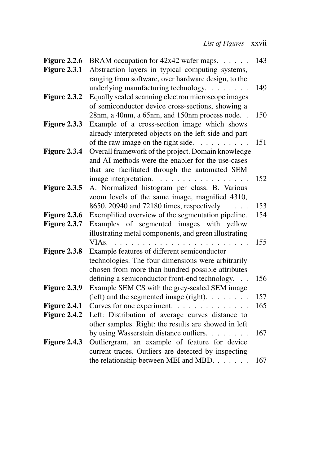| Figure 2.2.6        | BRAM occupation for 42x42 wafer maps.                                       | 143 |
|---------------------|-----------------------------------------------------------------------------|-----|
| Figure 2.3.1        | Abstraction layers in typical computing systems,                            |     |
|                     | ranging from software, over hardware design, to the                         |     |
|                     | underlying manufacturing technology.                                        | 149 |
| Figure 2.3.2        | Equally scaled scanning electron microscope images                          |     |
|                     | of semiconductor device cross-sections, showing a                           |     |
|                     | 28nm, a 40nm, a 65nm, and 150nm process node                                | 150 |
| Figure 2.3.3        | Example of a cross-section image which shows                                |     |
|                     | already interpreted objects on the left side and part                       |     |
|                     | of the raw image on the right side. $\ldots$                                | 151 |
| Figure 2.3.4        | Overall framework of the project. Domain knowledge                          |     |
|                     | and AI methods were the enabler for the use-cases                           |     |
|                     | that are facilitated through the automated SEM                              |     |
|                     |                                                                             | 152 |
| Figure 2.3.5        | A. Normalized histogram per class. B. Various                               |     |
|                     | zoom levels of the same image, magnified 4310,                              |     |
|                     | 8650, 20940 and 72180 times, respectively.<br>$\ldots$ .                    | 153 |
| Figure 2.3.6        | Exemplified overview of the segmentation pipeline.                          | 154 |
| Figure 2.3.7        | Examples of segmented images with yellow                                    |     |
|                     | illustrating metal components, and green illustrating                       |     |
|                     | VIA <sub>s</sub> .<br>.                                                     | 155 |
| Figure 2.3.8        | Example features of different semiconductor                                 |     |
|                     | technologies. The four dimensions were arbitrarily                          |     |
|                     | chosen from more than hundred possible attributes                           |     |
|                     | defining a semiconductor front-end technology.<br>$\mathbb{R}^{\mathbb{Z}}$ | 156 |
| Figure 2.3.9        | Example SEM CS with the grey-scaled SEM image                               |     |
|                     | (left) and the segmented image (right). $\dots \dots$                       | 157 |
| <b>Figure 2.4.1</b> | Curves for one experiment.                                                  | 165 |
| Figure 2.4.2        | Left: Distribution of average curves distance to                            |     |
|                     | other samples. Right: the results are showed in left                        |     |
|                     | by using Wasserstein distance outliers.                                     | 167 |
| <b>Figure 2.4.3</b> | Outliergram, an example of feature for device                               |     |
|                     | current traces. Outliers are detected by inspecting                         |     |
|                     | the relationship between MEI and MBD.                                       | 167 |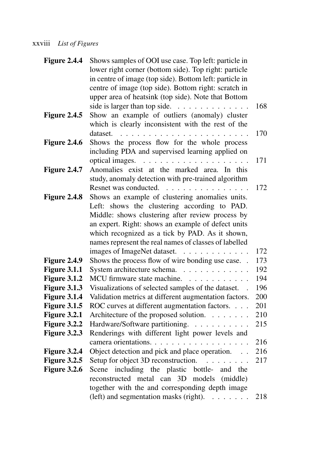### xxviii *List of Figures*

| <b>Figure 2.4.4</b> | Shows samples of OOI use case. Top left: particle in        |     |
|---------------------|-------------------------------------------------------------|-----|
|                     | lower right corner (bottom side). Top right: particle       |     |
|                     | in centre of image (top side). Bottom left: particle in     |     |
|                     | centre of image (top side). Bottom right: scratch in        |     |
|                     | upper area of heatsink (top side). Note that Bottom         |     |
|                     | side is larger than top side. $\ldots \ldots \ldots \ldots$ | 168 |
| <b>Figure 2.4.5</b> | Show an example of outliers (anomaly) cluster               |     |
|                     | which is clearly inconsistent with the rest of the          |     |
|                     | dataset.                                                    | 170 |
| <b>Figure 2.4.6</b> | Shows the process flow for the whole process                |     |
|                     | including PDA and supervised learning applied on            |     |
|                     |                                                             | 171 |
| <b>Figure 2.4.7</b> | Anomalies exist at the marked area. In this                 |     |
|                     | study, anomaly detection with pre-trained algorithm         |     |
|                     | Resnet was conducted.                                       | 172 |
| <b>Figure 2.4.8</b> | Shows an example of clustering anomalies units.             |     |
|                     | Left: shows the clustering according to PAD.                |     |
|                     | Middle: shows clustering after review process by            |     |
|                     | an expert. Right: shows an example of defect units          |     |
|                     | which recognized as a tick by PAD. As it shown,             |     |
|                     | names represent the real names of classes of labelled       |     |
|                     | images of ImageNet dataset.                                 | 172 |
| Figure 2.4.9        | Shows the process flow of wire bonding use case             | 173 |
| Figure 3.1.1        | System architecture schema.                                 | 192 |
| Figure 3.1.2        | MCU firmware state machine.                                 | 194 |
| Figure 3.1.3        | Visualizations of selected samples of the dataset.          | 196 |
| <b>Figure 3.1.4</b> | Validation metrics at different augmentation factors.       | 200 |
| <b>Figure 3.1.5</b> | ROC curves at different augmentation factors.               | 201 |
| <b>Figure 3.2.1</b> | Architecture of the proposed solution.                      | 210 |
| Figure 3.2.2        | Hardware/Software partitioning.                             | 215 |
| Figure 3.2.3        | Renderings with different light power levels and            |     |
|                     | camera orientations.                                        | 216 |
| Figure 3.2.4        | Object detection and pick and place operation.              | 216 |
| <b>Figure 3.2.5</b> | Setup for object 3D reconstruction.                         | 217 |
| Figure 3.2.6        | Scene including the plastic bottle- and the                 |     |
|                     | reconstructed metal can 3D models (middle)                  |     |
|                     | together with the and corresponding depth image             |     |
|                     | (left) and segmentation masks (right). $\dots \dots$        | 218 |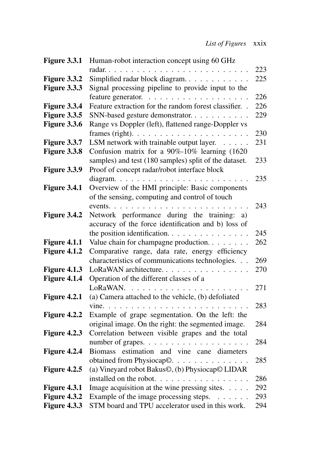| <b>Figure 3.3.1</b> | Human-robot interaction concept using 60 GHz            |     |
|---------------------|---------------------------------------------------------|-----|
|                     |                                                         | 223 |
| Figure 3.3.2        | Simplified radar block diagram.                         | 225 |
| Figure 3.3.3        | Signal processing pipeline to provide input to the      |     |
|                     |                                                         | 226 |
| Figure 3.3.4        | Feature extraction for the random forest classifier. .  | 226 |
| Figure 3.3.5        | SNN-based gesture demonstrator.                         | 229 |
| Figure 3.3.6        | Range vs Doppler (left), flattened range-Doppler vs     |     |
|                     |                                                         | 230 |
| Figure 3.3.7        | LSM network with trainable output layer.                | 231 |
| <b>Figure 3.3.8</b> | Confusion matrix for a 90%-10% learning (1620           |     |
|                     | samples) and test (180 samples) split of the dataset.   | 233 |
| Figure 3.3.9        | Proof of concept radar/robot interface block            |     |
|                     |                                                         | 235 |
| Figure 3.4.1        | Overview of the HMI principle: Basic components         |     |
|                     | of the sensing, computing and control of touch          |     |
|                     |                                                         | 243 |
| Figure 3.4.2        | Network performance during the training: a)             |     |
|                     | accuracy of the force identification and b) loss of     |     |
|                     | the position identification.                            | 245 |
| Figure 4.1.1        | Value chain for champagne production. $\ldots$          | 262 |
| Figure 4.1.2        | Comparative range, data rate, energy efficiency         |     |
|                     | characteristics of communications technologies.         | 269 |
| Figure 4.1.3        | LoRaWAN architecture.                                   | 270 |
| Figure 4.1.4        | Operation of the different classes of a                 |     |
|                     | LoRaWAN.                                                | 271 |
| Figure 4.2.1        | (a) Camera attached to the vehicle, (b) defoliated      |     |
|                     |                                                         | 283 |
| Figure 4.2.2        | Example of grape segmentation. On the left: the         |     |
|                     | original image. On the right: the segmented image.      | 284 |
| Figure 4.2.3        | Correlation between visible grapes and the total        |     |
|                     | number of grapes. $\ldots$                              | 284 |
| Figure 4.2.4        | estimation and vine cane diameters<br><b>Biomass</b>    |     |
|                     | obtained from Physiocap©.                               | 285 |
| Figure 4.2.5        | (a) Vineyard robot Bakus©, (b) Physiocap© LIDAR         |     |
|                     | installed on the robot.                                 | 286 |
| <b>Figure 4.3.1</b> | Image acquisition at the wine pressing sites. $\dots$ . | 292 |
| Figure 4.3.2        | Example of the image processing steps. $\dots \dots$    | 293 |
| Figure 4.3.3        | STM board and TPU accelerator used in this work.        | 294 |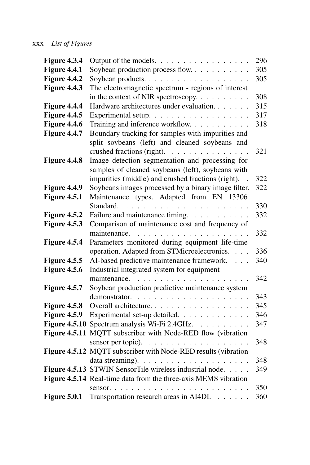| Figure 4.3.4         | Output of the models.                                           | 296 |
|----------------------|-----------------------------------------------------------------|-----|
| <b>Figure 4.4.1</b>  | Soybean production process flow                                 | 305 |
| Figure 4.4.2         | Soybean products                                                | 305 |
| Figure 4.4.3         | The electromagnetic spectrum - regions of interest              |     |
|                      | in the context of NIR spectroscopy.                             | 308 |
| Figure 4.4.4         | Hardware architectures under evaluation.                        | 315 |
| <b>Figure 4.4.5</b>  | Experimental setup.                                             | 317 |
| Figure 4.4.6         | Training and inference workflow.                                | 318 |
| <b>Figure 4.4.7</b>  | Boundary tracking for samples with impurities and               |     |
|                      | split soybeans (left) and cleaned soybeans and                  |     |
|                      | crushed fractions (right).                                      | 321 |
| Figure 4.4.8         | Image detection segmentation and processing for                 |     |
|                      | samples of cleaned soybeans (left), soybeans with               |     |
|                      | impurities (middle) and crushed fractions (right).              | 322 |
| Figure 4.4.9         | Soybeans images processed by a binary image filter.             | 322 |
| Figure 4.5.1         | Maintenance types. Adapted from EN 13306                        |     |
|                      | Standard.                                                       | 330 |
| <b>Figure 4.5.2</b>  | Failure and maintenance timing.                                 | 332 |
| Figure 4.5.3         | Comparison of maintenance cost and frequency of                 |     |
|                      | maintenance.<br>.                                               | 332 |
| Figure 4.5.4         | Parameters monitored during equipment life-time                 |     |
|                      | operation. Adapted from STMicroelectronics.                     | 336 |
| <b>Figure 4.5.5</b>  | AI-based predictive maintenance framework.                      | 340 |
| <b>Figure 4.5.6</b>  | Industrial integrated system for equipment                      |     |
|                      |                                                                 | 342 |
| <b>Figure 4.5.7</b>  | Soybean production predictive maintenance system                |     |
|                      |                                                                 | 343 |
| <b>Figure 4.5.8</b>  | Overall architecture.                                           | 345 |
| <b>Figure 4.5.9</b>  | Experimental set-up detailed.                                   | 346 |
| <b>Figure 4.5.10</b> | Spectrum analysis Wi-Fi 2.4GHz.                                 | 347 |
| <b>Figure 4.5.11</b> | MQTT subscriber with Node-RED flow (vibration                   |     |
|                      |                                                                 | 348 |
|                      | Figure 4.5.12 MQTT subscriber with Node-RED results (vibration  |     |
|                      |                                                                 | 348 |
|                      | Figure 4.5.13 STWIN SensorTile wireless industrial node.        | 349 |
|                      | Figure 4.5.14 Real-time data from the three-axis MEMS vibration |     |
|                      | sensor                                                          | 350 |
| Figure 5.0.1         | Transportation research areas in AI4DI.                         | 360 |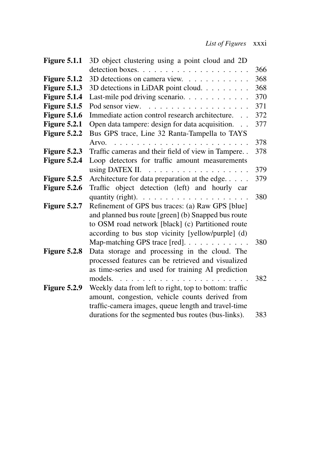| <b>Figure 5.1.1</b> | 3D object clustering using a point cloud and 2D               |     |
|---------------------|---------------------------------------------------------------|-----|
|                     |                                                               | 366 |
| <b>Figure 5.1.2</b> | 3D detections on camera view.                                 | 368 |
| <b>Figure 5.1.3</b> | 3D detections in LiDAR point cloud.                           | 368 |
| <b>Figure 5.1.4</b> | Last-mile pod driving scenario.                               | 370 |
| <b>Figure 5.1.5</b> | Pod sensor view.<br>.                                         | 371 |
| <b>Figure 5.1.6</b> | Immediate action control research architecture.               | 372 |
| <b>Figure 5.2.1</b> | Open data tampere: design for data acquisition.<br>$\sim$     | 377 |
| <b>Figure 5.2.2</b> | Bus GPS trace, Line 32 Ranta-Tampella to TAYS                 |     |
|                     |                                                               | 378 |
| Figure 5.2.3        | Traffic cameras and their field of view in Tampere. .         | 378 |
| Figure 5.2.4        | Loop detectors for traffic amount measurements                |     |
|                     | using DATEX II.<br>.                                          | 379 |
| <b>Figure 5.2.5</b> | Architecture for data preparation at the edge.                | 379 |
| <b>Figure 5.2.6</b> | Traffic object detection (left) and hourly car                |     |
|                     | quantity (right). $\ldots \ldots \ldots \ldots \ldots \ldots$ | 380 |
| Figure 5.2.7        | Refinement of GPS bus traces: (a) Raw GPS [blue]              |     |
|                     | and planned bus route [green] (b) Snapped bus route           |     |
|                     | to OSM road network [black] (c) Partitioned route             |     |
|                     | according to bus stop vicinity [yellow/purple] (d)            |     |
|                     | Map-matching GPS trace [red].                                 | 380 |
| Figure 5.2.8        | Data storage and processing in the cloud. The                 |     |
|                     | processed features can be retrieved and visualized            |     |
|                     | as time-series and used for training AI prediction            |     |
|                     | models.                                                       | 382 |
| Figure 5.2.9        | Weekly data from left to right, top to bottom: traffic        |     |
|                     | amount, congestion, vehicle counts derived from               |     |
|                     | traffic-camera images, queue length and travel-time           |     |
|                     | durations for the segmented bus routes (bus-links).           | 383 |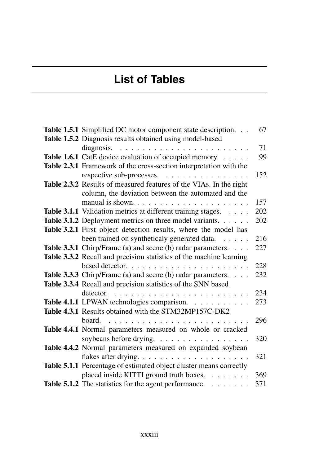# **List of Tables**

| Table 1.5.1 Simplified DC motor component state description.        | 67  |
|---------------------------------------------------------------------|-----|
| Table 1.5.2 Diagnosis results obtained using model-based            |     |
|                                                                     | 71  |
| Table 1.6.1 CatE device evaluation of occupied memory.              | 99  |
| Table 2.3.1 Framework of the cross-section interpretation with the  |     |
| respective sub-processes.                                           | 152 |
| Table 2.3.2 Results of measured features of the VIAs. In the right  |     |
| column, the deviation between the automated and the                 |     |
| manual is shown                                                     | 157 |
| Table 3.1.1 Validation metrics at different training stages.        | 202 |
| Table 3.1.2 Deployment metrics on three model variants.             | 202 |
| Table 3.2.1 First object detection results, where the model has     |     |
| been trained on syntheticaly generated data.                        | 216 |
| Table 3.3.1 Chirp/Frame (a) and scene (b) radar parameters.         | 227 |
| Table 3.3.2 Recall and precision statistics of the machine learning |     |
|                                                                     | 228 |
| Table 3.3.3 Chirp/Frame (a) and scene (b) radar parameters.         | 232 |
| Table 3.3.4 Recall and precision statistics of the SNN based        |     |
|                                                                     | 234 |
| Table 4.1.1 LPWAN technologies comparison.                          | 273 |
| Table 4.3.1 Results obtained with the STM32MP157C-DK2               |     |
| board.<br>.                                                         | 296 |
| Table 4.4.1 Normal parameters measured on whole or cracked          |     |
| soybeans before drying.                                             | 320 |
| Table 4.4.2 Normal parameters measured on expanded soybean          |     |
| flakes after drying                                                 | 321 |
| Table 5.1.1 Percentage of estimated object cluster means correctly  |     |
| placed inside KITTI ground truth boxes.                             | 369 |
| Table 5.1.2 The statistics for the agent performance.               | 371 |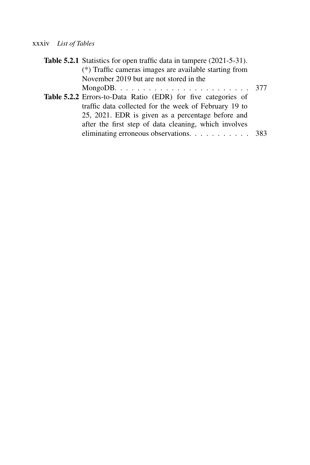#### xxxiv *List of Tables*

| Table 5.2.1 Statistics for open traffic data in tampere (2021-5-31). |  |
|----------------------------------------------------------------------|--|
| (*) Traffic cameras images are available starting from               |  |
| November 2019 but are not stored in the                              |  |
|                                                                      |  |
| Table 5.2.2 Errors-to-Data Ratio (EDR) for five categories of        |  |
| traffic data collected for the week of February 19 to                |  |
| 25, 2021. EDR is given as a percentage before and                    |  |
| after the first step of data cleaning, which involves                |  |
| eliminating erroneous observations. 383                              |  |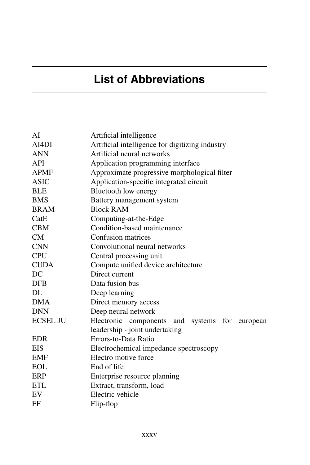# **List of Abbreviations**

| AI              | Artificial intelligence                              |
|-----------------|------------------------------------------------------|
| AI4DI           | Artificial intelligence for digitizing industry      |
| <b>ANN</b>      | Artificial neural networks                           |
| API             | Application programming interface                    |
| <b>APMF</b>     | Approximate progressive morphological filter         |
| <b>ASIC</b>     | Application-specific integrated circuit              |
| <b>BLE</b>      | Bluetooth low energy                                 |
| <b>BMS</b>      | Battery management system                            |
| <b>BRAM</b>     | <b>Block RAM</b>                                     |
| CatE            | Computing-at-the-Edge                                |
| <b>CBM</b>      | Condition-based maintenance                          |
| CM              | Confusion matrices                                   |
| <b>CNN</b>      | Convolutional neural networks                        |
| <b>CPU</b>      | Central processing unit                              |
| <b>CUDA</b>     | Compute unified device architecture                  |
| DC              | Direct current                                       |
| <b>DFB</b>      | Data fusion bus                                      |
| DL              | Deep learning                                        |
| <b>DMA</b>      | Direct memory access                                 |
| <b>DNN</b>      | Deep neural network                                  |
| <b>ECSEL JU</b> | Electronic components<br>and<br>systems for european |
|                 | leadership - joint undertaking                       |
| <b>EDR</b>      | Errors-to-Data Ratio                                 |
| <b>EIS</b>      | Electrochemical impedance spectroscopy               |
| <b>EMF</b>      | Electro motive force                                 |
| <b>EOL</b>      | End of life                                          |
| ERP             | Enterprise resource planning                         |
| <b>ETL</b>      | Extract, transform, load                             |
| EV              | Electric vehicle                                     |
| FF              | Flip-flop                                            |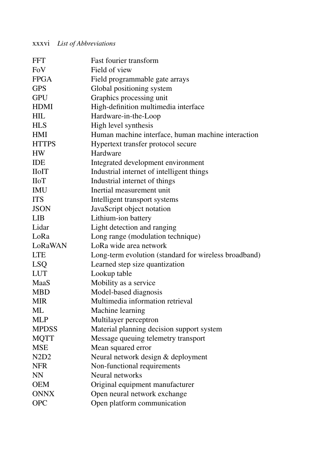#### xxxvi *List of Abbreviations*

| <b>FFT</b>                    | Fast fourier transform                                |
|-------------------------------|-------------------------------------------------------|
| FoV                           | Field of view                                         |
| <b>FPGA</b>                   | Field programmable gate arrays                        |
| <b>GPS</b>                    | Global positioning system                             |
| <b>GPU</b>                    | Graphics processing unit                              |
| <b>HDMI</b>                   | High-definition multimedia interface                  |
| <b>HIL</b>                    | Hardware-in-the-Loop                                  |
| <b>HLS</b>                    | High level synthesis                                  |
| <b>HMI</b>                    | Human machine interface, human machine interaction    |
| <b>HTTPS</b>                  | Hypertext transfer protocol secure                    |
| <b>HW</b>                     | Hardware                                              |
| <b>IDE</b>                    | Integrated development environment                    |
| <b>IIoIT</b>                  | Industrial internet of intelligent things             |
| <b>IIoT</b>                   | Industrial internet of things                         |
| <b>IMU</b>                    | Inertial measurement unit                             |
| <b>ITS</b>                    | Intelligent transport systems                         |
| <b>JSON</b>                   | JavaScript object notation                            |
| LIB                           | Lithium-ion battery                                   |
| Lidar                         | Light detection and ranging                           |
| LoRa                          | Long range (modulation technique)                     |
| LoRaWAN                       | LoRa wide area network                                |
| <b>LTE</b>                    | Long-term evolution (standard for wireless broadband) |
| <b>LSQ</b>                    | Learned step size quantization                        |
| <b>LUT</b>                    | Lookup table                                          |
| MaaS                          | Mobility as a service                                 |
| <b>MBD</b>                    | Model-based diagnosis                                 |
| <b>MIR</b>                    | Multimedia information retrieval                      |
| ML                            | Machine learning                                      |
| <b>MLP</b>                    | Multilayer perceptron                                 |
| <b>MPDSS</b>                  | Material planning decision support system             |
| <b>MQTT</b>                   | Message queuing telemetry transport                   |
| <b>MSE</b>                    | Mean squared error                                    |
| N <sub>2</sub> D <sub>2</sub> | Neural network design & deployment                    |
| <b>NFR</b>                    | Non-functional requirements                           |
| <b>NN</b>                     | Neural networks                                       |
| <b>OEM</b>                    | Original equipment manufacturer                       |
| <b>ONNX</b>                   | Open neural network exchange                          |
| <b>OPC</b>                    | Open platform communication                           |